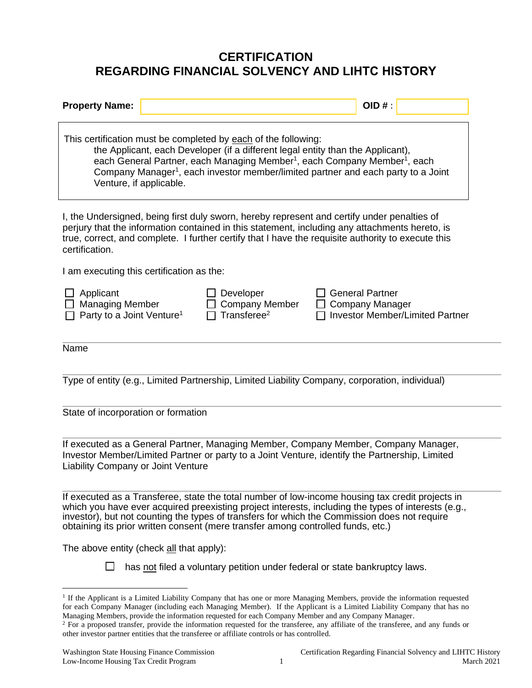## **CERTIFICATION REGARDING FINANCIAL SOLVENCY AND LIHTC HISTORY**

| <b>Property Name:</b>                                                                                                                                                                                                                                                                                                                                                              |  |                                                        | OID#:                                                                                                                                                                                                                                                                                               |  |
|------------------------------------------------------------------------------------------------------------------------------------------------------------------------------------------------------------------------------------------------------------------------------------------------------------------------------------------------------------------------------------|--|--------------------------------------------------------|-----------------------------------------------------------------------------------------------------------------------------------------------------------------------------------------------------------------------------------------------------------------------------------------------------|--|
| This certification must be completed by each of the following:<br>the Applicant, each Developer (if a different legal entity than the Applicant),<br>each General Partner, each Managing Member <sup>1</sup> , each Company Member <sup>1</sup> , each<br>Company Manager <sup>1</sup> , each investor member/limited partner and each party to a Joint<br>Venture, if applicable. |  |                                                        |                                                                                                                                                                                                                                                                                                     |  |
| certification.                                                                                                                                                                                                                                                                                                                                                                     |  |                                                        | I, the Undersigned, being first duly sworn, hereby represent and certify under penalties of<br>perjury that the information contained in this statement, including any attachments hereto, is<br>true, correct, and complete. I further certify that I have the requisite authority to execute this |  |
| I am executing this certification as the:                                                                                                                                                                                                                                                                                                                                          |  |                                                        |                                                                                                                                                                                                                                                                                                     |  |
| Applicant<br><b>Managing Member</b><br>Party to a Joint Venture <sup>1</sup>                                                                                                                                                                                                                                                                                                       |  | Developer<br>Company Member<br>Transferee <sup>2</sup> | <b>General Partner</b><br><b>Company Manager</b><br>Investor Member/Limited Partner                                                                                                                                                                                                                 |  |
| Name                                                                                                                                                                                                                                                                                                                                                                               |  |                                                        |                                                                                                                                                                                                                                                                                                     |  |
|                                                                                                                                                                                                                                                                                                                                                                                    |  |                                                        |                                                                                                                                                                                                                                                                                                     |  |
|                                                                                                                                                                                                                                                                                                                                                                                    |  |                                                        | Type of entity (e.g., Limited Partnership, Limited Liability Company, corporation, individual)                                                                                                                                                                                                      |  |
| State of incorporation or formation                                                                                                                                                                                                                                                                                                                                                |  |                                                        |                                                                                                                                                                                                                                                                                                     |  |
| Liability Company or Joint Venture                                                                                                                                                                                                                                                                                                                                                 |  |                                                        | If executed as a General Partner, Managing Member, Company Member, Company Manager,<br>Investor Member/Limited Partner or party to a Joint Venture, identify the Partnership, Limited                                                                                                               |  |

If executed as a Transferee, state the total number of low-income housing tax credit projects in which you have ever acquired preexisting project interests, including the types of interests (e.g., investor), but not counting the types of transfers for which the Commission does not require obtaining its prior written consent (mere transfer among controlled funds, etc.)

The above entity (check all that apply):

 $\Box$  has not filed a voluntary petition under federal or state bankruptcy laws.

<sup>&</sup>lt;sup>1</sup> If the Applicant is a Limited Liability Company that has one or more Managing Members, provide the information requested for each Company Manager (including each Managing Member). If the Applicant is a Limited Liability Company that has no Managing Members, provide the information requested for each Company Member and any Company Manager.

<sup>&</sup>lt;sup>2</sup> For a proposed transfer, provide the information requested for the transferee, any affiliate of the transferee, and any funds or other investor partner entities that the transferee or affiliate controls or has controlled.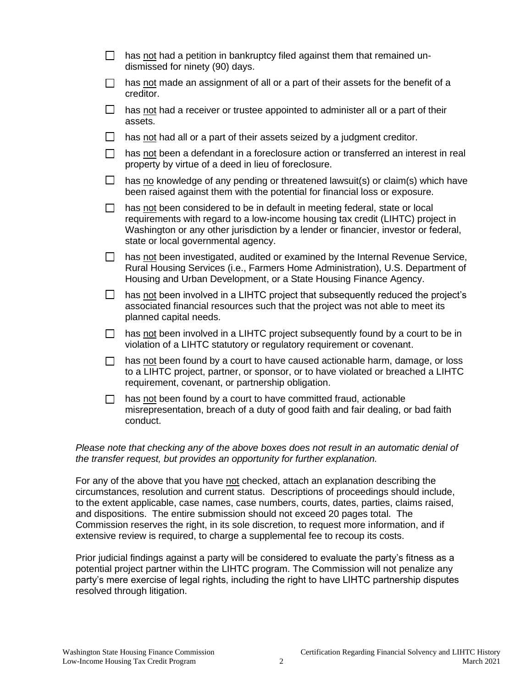| $\Box$  | has not had a petition in bankruptcy filed against them that remained un-<br>dismissed for ninety (90) days.                                                                                                                                                                                |
|---------|---------------------------------------------------------------------------------------------------------------------------------------------------------------------------------------------------------------------------------------------------------------------------------------------|
| $\Box$  | has not made an assignment of all or a part of their assets for the benefit of a<br>creditor.                                                                                                                                                                                               |
| $\Box$  | has not had a receiver or trustee appointed to administer all or a part of their<br>assets.                                                                                                                                                                                                 |
| $\Box$  | has not had all or a part of their assets seized by a judgment creditor.                                                                                                                                                                                                                    |
| П       | has not been a defendant in a foreclosure action or transferred an interest in real<br>property by virtue of a deed in lieu of foreclosure.                                                                                                                                                 |
| $\Box$  | has no knowledge of any pending or threatened lawsuit(s) or claim(s) which have<br>been raised against them with the potential for financial loss or exposure.                                                                                                                              |
| $\Box$  | has not been considered to be in default in meeting federal, state or local<br>requirements with regard to a low-income housing tax credit (LIHTC) project in<br>Washington or any other jurisdiction by a lender or financier, investor or federal,<br>state or local governmental agency. |
| $\Box$  | has not been investigated, audited or examined by the Internal Revenue Service,<br>Rural Housing Services (i.e., Farmers Home Administration), U.S. Department of<br>Housing and Urban Development, or a State Housing Finance Agency.                                                      |
| $\Box$  | has not been involved in a LIHTC project that subsequently reduced the project's<br>associated financial resources such that the project was not able to meet its<br>planned capital needs.                                                                                                 |
| $\Box$  | has not been involved in a LIHTC project subsequently found by a court to be in<br>violation of a LIHTC statutory or regulatory requirement or covenant.                                                                                                                                    |
| $\Box$  | has not been found by a court to have caused actionable harm, damage, or loss<br>to a LIHTC project, partner, or sponsor, or to have violated or breached a LIHTC<br>requirement, covenant, or partnership obligation.                                                                      |
| $\perp$ | has not been found by a court to have committed fraud, actionable<br>misrepresentation, breach of a duty of good faith and fair dealing, or bad faith<br>conduct.                                                                                                                           |
|         |                                                                                                                                                                                                                                                                                             |

*Please note that checking any of the above boxes does not result in an automatic denial of the transfer request, but provides an opportunity for further explanation.*

For any of the above that you have not checked, attach an explanation describing the circumstances, resolution and current status. Descriptions of proceedings should include, to the extent applicable, case names, case numbers, courts, dates, parties, claims raised, and dispositions. The entire submission should not exceed 20 pages total. The Commission reserves the right, in its sole discretion, to request more information, and if extensive review is required, to charge a supplemental fee to recoup its costs.

Prior judicial findings against a party will be considered to evaluate the party's fitness as a potential project partner within the LIHTC program. The Commission will not penalize any party's mere exercise of legal rights, including the right to have LIHTC partnership disputes resolved through litigation.